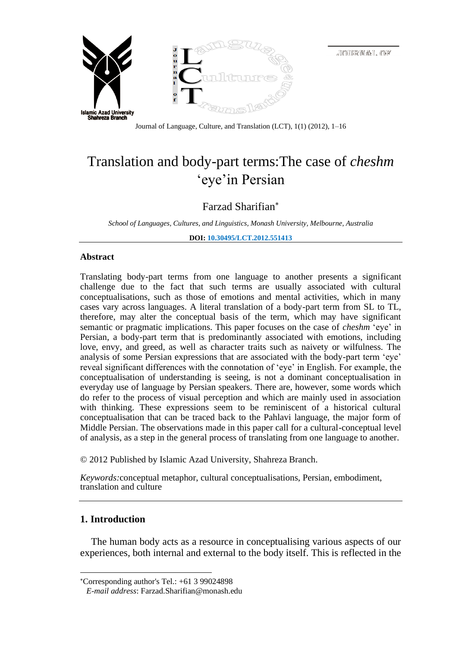

JOHRNAH, OR

Journal of Language, Culture, and Translation (LCT), 1(1) (2012), 1–16

# Translation and body-part terms:The case of *cheshm* 'eye'in Persian

## Farzad Sharifian

*School of Languages, Cultures, and Linguistics, Monash University, Melbourne, Australia*

**DOI: [10.30495/LCT.2012.551413](http://lct.iaush.ac.ir/article_551413.html)**

#### **Abstract**

Translating body-part terms from one language to another presents a significant challenge due to the fact that such terms are usually associated with cultural conceptualisations, such as those of emotions and mental activities, which in many cases vary across languages. A literal translation of a body-part term from SL to TL, therefore, may alter the conceptual basis of the term, which may have significant semantic or pragmatic implications. This paper focuses on the case of *cheshm* 'eye' in Persian, a body-part term that is predominantly associated with emotions, including love, envy, and greed, as well as character traits such as naivety or wilfulness. The analysis of some Persian expressions that are associated with the body-part term 'eye' reveal significant differences with the connotation of 'eye' in English. For example, the conceptualisation of understanding is seeing, is not a dominant conceptualisation in everyday use of language by Persian speakers. There are, however, some words which do refer to the process of visual perception and which are mainly used in association with thinking. These expressions seem to be reminiscent of a historical cultural conceptualisation that can be traced back to the Pahlavi language, the major form of Middle Persian. The observations made in this paper call for a cultural-conceptual level of analysis, as a step in the general process of translating from one language to another.

© 2012 Published by Islamic Azad University, Shahreza Branch.

*Keywords:*conceptual metaphor, cultural conceptualisations, Persian, embodiment, translation and culture

## **1. Introduction**

The human body acts as a resource in conceptualising various aspects of our experiences, both internal and external to the body itself. This is reflected in the

Corresponding author's Tel.: +61 3 99024898

*E-mail address*: Farzad.Sharifian@monash.edu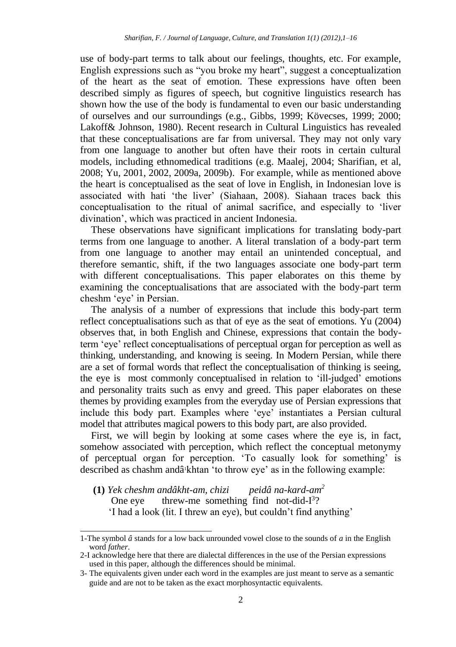use of body-part terms to talk about our feelings, thoughts, etc. For example, English expressions such as "you broke my heart", suggest a conceptualization of the heart as the seat of emotion. These expressions have often been described simply as figures of speech, but cognitive linguistics research has shown how the use of the body is fundamental to even our basic understanding of ourselves and our surroundings (e.g., Gibbs, 1999; Kövecses, 1999; 2000; Lakoff& Johnson, 1980). Recent research in Cultural Linguistics has revealed that these conceptualisations are far from universal. They may not only vary from one language to another but often have their roots in certain cultural models, including ethnomedical traditions (e.g. Maalej, 2004; Sharifian, et al, 2008; Yu, 2001, 2002, 2009a, 2009b). For example, while as mentioned above the heart is conceptualised as the seat of love in English, in Indonesian love is associated with hati 'the liver' (Siahaan, 2008). Siahaan traces back this conceptualisation to the ritual of animal sacrifice, and especially to 'liver divination', which was practiced in ancient Indonesia.

These observations have significant implications for translating body-part terms from one language to another. A literal translation of a body-part term from one language to another may entail an unintended conceptual, and therefore semantic, shift, if the two languages associate one body-part term with different conceptualisations. This paper elaborates on this theme by examining the conceptualisations that are associated with the body-part term cheshm 'eye' in Persian.

The analysis of a number of expressions that include this body-part term reflect conceptualisations such as that of eye as the seat of emotions. Yu (2004) observes that, in both English and Chinese, expressions that contain the bodyterm 'eye' reflect conceptualisations of perceptual organ for perception as well as thinking, understanding, and knowing is seeing. In Modern Persian, while there are a set of formal words that reflect the conceptualisation of thinking is seeing, the eye is most commonly conceptualised in relation to 'ill-judged' emotions and personality traits such as envy and greed. This paper elaborates on these themes by providing examples from the everyday use of Persian expressions that include this body part. Examples where 'eye' instantiates a Persian cultural model that attributes magical powers to this body part, are also provided.

First, we will begin by looking at some cases where the eye is, in fact, somehow associated with perception, which reflect the conceptual metonymy of perceptual organ for perception. 'To casually look for something' is described as chashm andâ<sup>1</sup>khtan 'to throw eye' as in the following example:

**(1)** *Yek cheshm andâkht-am, chizi peidâ na-kard-am<sup>2</sup>* One eye threw-me something find not-did-I<sup>3</sup>? 'I had a look (lit. I threw an eye), but couldn't find anything'

<sup>1-</sup>The symbol *â* stands for a low back unrounded vowel close to the sounds of *a* in the English word *father*.

<sup>2-</sup>I acknowledge here that there are dialectal differences in the use of the Persian expressions used in this paper, although the differences should be minimal.

<sup>3-</sup> The equivalents given under each word in the examples are just meant to serve as a semantic guide and are not to be taken as the exact morphosyntactic equivalents.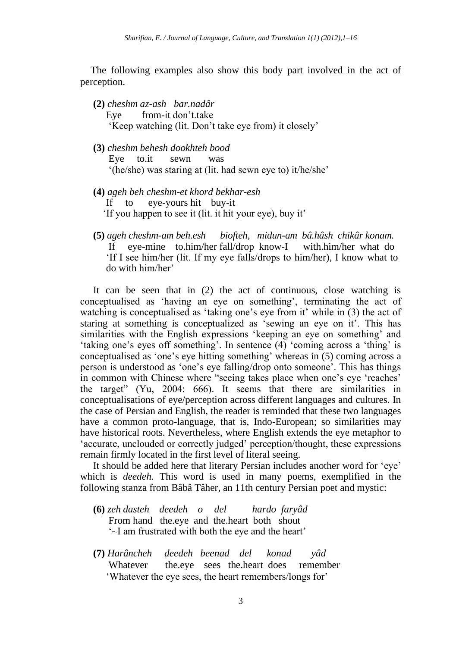The following examples also show this body part involved in the act of perception.

- **(2)** *cheshm az-ash bar.nadâr* Eye from-it don't.take 'Keep watching (lit. Don't take eye from) it closely'
- **(3)** *cheshm behesh dookhteh bood* Eye to.it sewn was '(he/she) was staring at (lit. had sewn eye to) it/he/she'
- **(4)** *ageh beh cheshm-et khord bekhar-esh* If to eye-yours hit buy-it 'If you happen to see it (lit. it hit your eye), buy it'
- **(5)** *ageh cheshm-am beh.esh biofteh, midun-am bâ.hâsh chikâr konam.* If eye-mine to.him/her fall/drop know-I with.him/her what do 'If I see him/her (lit. If my eye falls/drops to him/her), I know what to do with him/her'

It can be seen that in (2) the act of continuous, close watching is conceptualised as 'having an eye on something', terminating the act of watching is conceptualised as 'taking one's eye from it' while in (3) the act of staring at something is conceptualized as 'sewing an eye on it'. This has similarities with the English expressions 'keeping an eye on something' and 'taking one's eyes off something'. In sentence (4) 'coming across a 'thing' is conceptualised as 'one's eye hitting something' whereas in (5) coming across a person is understood as 'one's eye falling/drop onto someone'. This has things in common with Chinese where "seeing takes place when one's eye 'reaches' the target" (Yu, 2004: 666). It seems that there are similarities in conceptualisations of eye/perception across different languages and cultures. In the case of Persian and English, the reader is reminded that these two languages have a common proto-language, that is, Indo-European; so similarities may have historical roots. Nevertheless, where English extends the eye metaphor to 'accurate, unclouded or correctly judged' perception/thought, these expressions remain firmly located in the first level of literal seeing.

It should be added here that literary Persian includes another word for 'eye' which is *deedeh.* This word is used in many poems, exemplified in the following stanza from Bâbâ Tâher, an 11th century Persian poet and mystic:

- **(6)** *zeh dasteh deedeh o del hardo faryâd* From hand the.eye and the.heart both shout '~I am frustrated with both the eye and the heart'
- **(7)** *Harâncheh deedeh beenad del konad yâd* Whatever the.eye sees the.heart does remember 'Whatever the eye sees, the heart remembers/longs for'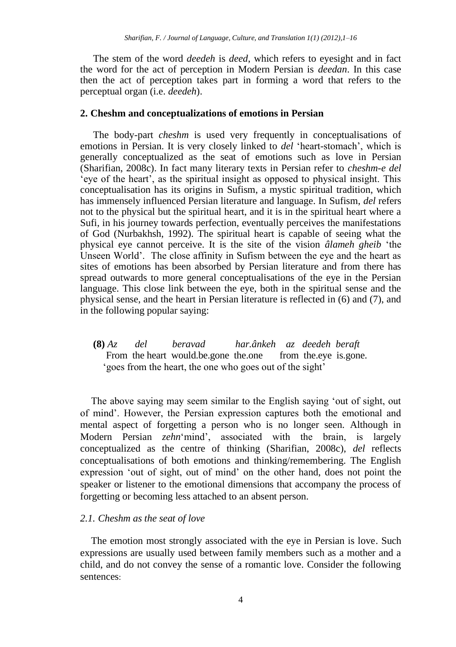The stem of the word *deedeh* is *deed*, which refers to eyesight and in fact the word for the act of perception in Modern Persian is *deedan*. In this case then the act of perception takes part in forming a word that refers to the perceptual organ (i.e. *deedeh*).

#### **2. Cheshm and conceptualizations of emotions in Persian**

The body-part *cheshm* is used very frequently in conceptualisations of emotions in Persian. It is very closely linked to *del* 'heart-stomach', which is generally conceptualized as the seat of emotions such as love in Persian (Sharifian, 2008c). In fact many literary texts in Persian refer to *cheshm-e del* 'eye of the heart', as the spiritual insight as opposed to physical insight. This conceptualisation has its origins in Sufism, a mystic spiritual tradition, which has immensely influenced Persian literature and language. In Sufism, *del* refers not to the physical but the spiritual heart, and it is in the spiritual heart where a Sufi, in his journey towards perfection, eventually perceives the manifestations of God (Nurbakhsh, 1992). The spiritual heart is capable of seeing what the physical eye cannot perceive. It is the site of the vision *âlameh gheib* 'the Unseen World'. The close affinity in Sufism between the eye and the heart as sites of emotions has been absorbed by Persian literature and from there has spread outwards to more general conceptualisations of the eye in the Persian language. This close link between the eye, both in the spiritual sense and the physical sense, and the heart in Persian literature is reflected in (6) and (7), and in the following popular saying:

**(8)** *Az del beravad har.ânkeh az deedeh beraft* From the heart would.be.gone the.one from the.eye is.gone. 'goes from the heart, the one who goes out of the sight'

The above saying may seem similar to the English saying 'out of sight, out of mind'. However, the Persian expression captures both the emotional and mental aspect of forgetting a person who is no longer seen. Although in Modern Persian *zehn*'mind', associated with the brain, is largely conceptualized as the centre of thinking (Sharifian, 2008c), *del* reflects conceptualisations of both emotions and thinking/remembering. The English expression 'out of sight, out of mind' on the other hand, does not point the speaker or listener to the emotional dimensions that accompany the process of forgetting or becoming less attached to an absent person.

## *2.1. Cheshm as the seat of love*

The emotion most strongly associated with the eye in Persian is love. Such expressions are usually used between family members such as a mother and a child, and do not convey the sense of a romantic love. Consider the following sentences: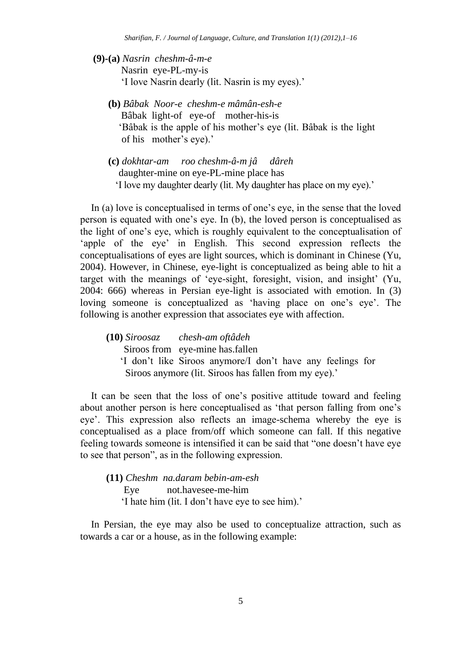- **(9)-(a)** *Nasrin cheshm-â-m-e* Nasrin eye-PL-my-is 'I love Nasrin dearly (lit. Nasrin is my eyes).'
	- **(b)** *Bâbak Noor-e cheshm-e mâmân-esh-e* Bâbak light-of eye-of mother-his-is 'Bâbak is the apple of his mother's eye (lit. Bâbak is the light of his mother's eye).'
	- **(c)** *dokhtar-am roo cheshm-â-m jâ dâreh* daughter-mine on eye-PL-mine place has 'I love my daughter dearly (lit. My daughter has place on my eye).'

In (a) love is conceptualised in terms of one's eye, in the sense that the loved person is equated with one's eye. In (b), the loved person is conceptualised as the light of one's eye, which is roughly equivalent to the conceptualisation of 'apple of the eye' in English. This second expression reflects the conceptualisations of eyes are light sources, which is dominant in Chinese (Yu, 2004). However, in Chinese, eye-light is conceptualized as being able to hit a target with the meanings of 'eye-sight, foresight, vision, and insight' (Yu, 2004: 666) whereas in Persian eye-light is associated with emotion. In (3) loving someone is conceptualized as 'having place on one's eye'. The following is another expression that associates eye with affection.

**(10)** *Siroosaz chesh-am oftâdeh* Siroos from eye-mine has.fallen 'I don't like Siroos anymore/I don't have any feelings for Siroos anymore (lit. Siroos has fallen from my eye).'

It can be seen that the loss of one's positive attitude toward and feeling about another person is here conceptualised as 'that person falling from one's eye'. This expression also reflects an image-schema whereby the eye is conceptualised as a place from/off which someone can fall. If this negative feeling towards someone is intensified it can be said that "one doesn't have eye to see that person", as in the following expression.

**(11)** *Cheshm na.daram bebin-am-esh* Eye not.havesee-me-him 'I hate him (lit. I don't have eye to see him).'

In Persian, the eye may also be used to conceptualize attraction, such as towards a car or a house, as in the following example: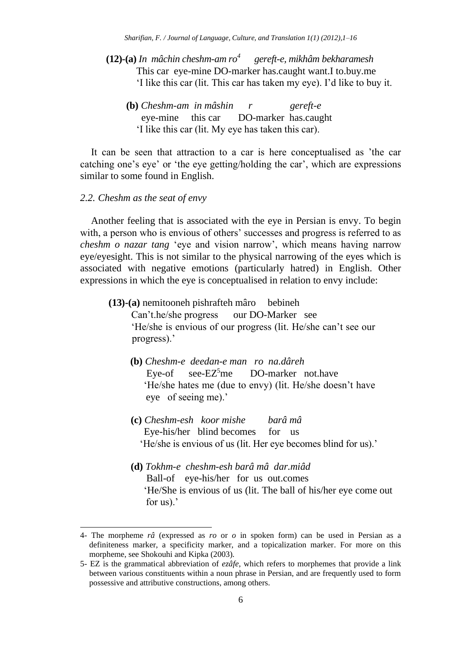- **(12)-(a)** *In mâchin cheshm-am ro<sup>4</sup> gereft-e, mikhâm bekharamesh* This car eye-mine DO-marker has.caught want.I to.buy.me 'I like this car (lit. This car has taken my eye). I'd like to buy it.
	- **(b)** *Cheshm-am in mâshin r gereft-e* eye-mine this car DO-marker has.caught 'I like this car (lit. My eye has taken this car).

It can be seen that attraction to a car is here conceptualised as 'the car catching one's eye' or 'the eye getting/holding the car', which are expressions similar to some found in English.

#### *2.2. Cheshm as the seat of envy*

Another feeling that is associated with the eye in Persian is envy. To begin with, a person who is envious of others' successes and progress is referred to as *cheshm o nazar tang* 'eye and vision narrow', which means having narrow eye/eyesight. This is not similar to the physical narrowing of the eyes which is associated with negative emotions (particularly hatred) in English. Other expressions in which the eye is conceptualised in relation to envy include:

- **(13)-(a)** nemitooneh pishrafteh mâro bebineh Can't.he/she progress our DO-Marker see 'He/she is envious of our progress (lit. He/she can't see our progress).'
	- **(b)** *Cheshm-e deedan-e man ro na.dâreh* Eye-of see- $EZ^5$ me DO-marker not.have 'He/she hates me (due to envy) (lit. He/she doesn't have eye of seeing me).'
	- **(c)** *Cheshm-esh koor mishe barâ mâ* Eye-his/her blind becomes for us 'He/she is envious of us (lit. Her eye becomes blind for us).'
	- **(d)** *Tokhm-e cheshm-esh barâ mâ dar.miâd*  Ball-of eye-his/her for us out.comes 'He/She is envious of us (lit. The ball of his/her eye come out for us).'

<sup>4-</sup> The morpheme *râ* (expressed as *ro* or *o* in spoken form) can be used in Persian as a definiteness marker, a specificity marker, and a topicalization marker. For more on this morpheme, see Shokouhi and Kipka (2003).

<sup>5-</sup> EZ is the grammatical abbreviation of *ezâfe*, which refers to morphemes that provide a link between various constituents within a noun phrase in Persian, and are frequently used to form possessive and attributive constructions, among others.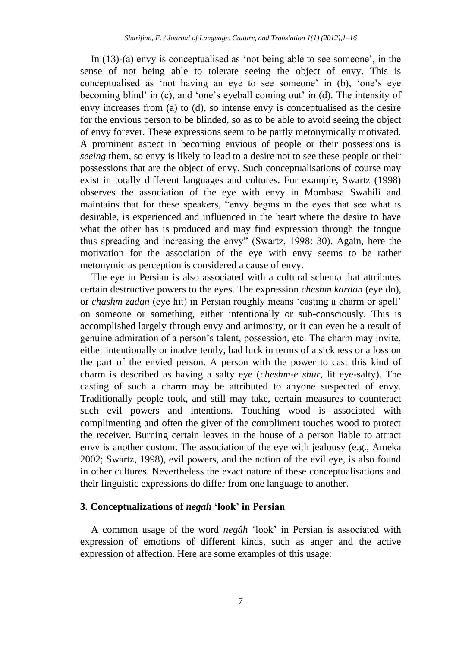In (13)-(a) envy is conceptualised as 'not being able to see someone', in the sense of not being able to tolerate seeing the object of envy. This is conceptualised as 'not having an eye to see someone' in (b), 'one's eye becoming blind' in (c), and 'one's eyeball coming out' in (d). The intensity of envy increases from (a) to (d), so intense envy is conceptualised as the desire for the envious person to be blinded, so as to be able to avoid seeing the object of envy forever. These expressions seem to be partly metonymically motivated. A prominent aspect in becoming envious of people or their possessions is *seeing* them, so envy is likely to lead to a desire not to see these people or their possessions that are the object of envy. Such conceptualisations of course may exist in totally different languages and cultures. For example, Swartz (1998) observes the association of the eye with envy in Mombasa Swahili and maintains that for these speakers, "envy begins in the eyes that see what is desirable, is experienced and influenced in the heart where the desire to have what the other has is produced and may find expression through the tongue thus spreading and increasing the envy" (Swartz, 1998: 30). Again, here the motivation for the association of the eye with envy seems to be rather metonymic as perception is considered a cause of envy.

The eye in Persian is also associated with a cultural schema that attributes certain destructive powers to the eyes. The expression *cheshm kardan* (eye do), or *chashm zadan* (eye hit) in Persian roughly means 'casting a charm or spell' on someone or something, either intentionally or sub-consciously. This is accomplished largely through envy and animosity, or it can even be a result of genuine admiration of a person's talent, possession, etc. The charm may invite, either intentionally or inadvertently, bad luck in terms of a sickness or a loss on the part of the envied person. A person with the power to cast this kind of charm is described as having a salty eye (*cheshm-e shur,* lit eye-salty). The casting of such a charm may be attributed to anyone suspected of envy. Traditionally people took, and still may take, certain measures to counteract such evil powers and intentions. Touching wood is associated with complimenting and often the giver of the compliment touches wood to protect the receiver. Burning certain leaves in the house of a person liable to attract envy is another custom. The association of the eye with jealousy (e.g., Ameka 2002; Swartz, 1998), evil powers, and the notion of the evil eye, is also found in other cultures. Nevertheless the exact nature of these conceptualisations and their linguistic expressions do differ from one language to another.

## **3. Conceptualizations of** *negah* **'look' in Persian**

A common usage of the word *negâh* 'look' in Persian is associated with expression of emotions of different kinds, such as anger and the active expression of affection. Here are some examples of this usage: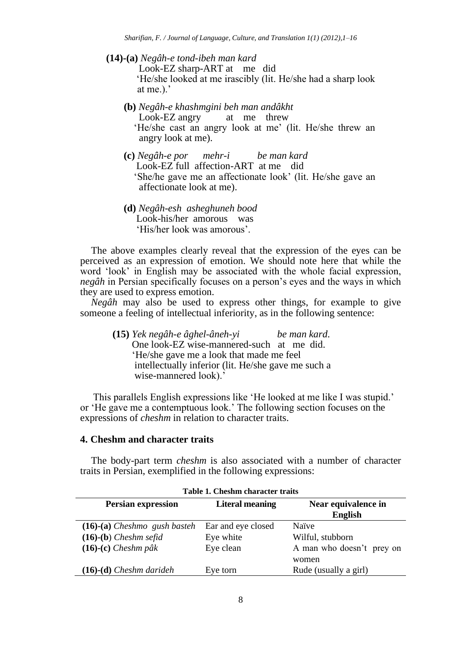**(14)-(a)** *Negâh-e tond-ibeh man kard*

 Look-EZ sharp-ART at me did 'He/she looked at me irascibly (lit. He/she had a sharp look at me.).'

- **(b)** *Negâh-e khashmgini beh man andâkht* Look-EZ angry at me threw 'He/she cast an angry look at me' (lit. He/she threw an angry look at me).
- **(c)** *Negâh-e por mehr-i be man kard* Look-EZ full affection-ART at me did 'She/he gave me an affectionate look' (lit. He/she gave an affectionate look at me).
- **(d)** *Negâh-esh asheghuneh bood* Look-his/her amorous was 'His/her look was amorous'.

The above examples clearly reveal that the expression of the eyes can be perceived as an expression of emotion. We should note here that while the word 'look' in English may be associated with the whole facial expression, *negâh* in Persian specifically focuses on a person's eyes and the ways in which they are used to express emotion.

*Negâh* may also be used to express other things, for example to give someone a feeling of intellectual inferiority, as in the following sentence:

**(15)** *Yek negâh-e âghel-âneh-yi be man kard*. One look-EZ wise-mannered-such at me did. 'He/she gave me a look that made me feel intellectually inferior (lit. He/she gave me such a wise-mannered look).'

This parallels English expressions like 'He looked at me like I was stupid.' or 'He gave me a contemptuous look.' The following section focuses on the expressions of *cheshm* in relation to character traits.

#### **4. Cheshm and character traits**

The body-part term *cheshm* is also associated with a number of character traits in Persian, exemplified in the following expressions:

| Table 1. Cheshm character traits |                        |                           |  |
|----------------------------------|------------------------|---------------------------|--|
| <b>Persian expression</b>        | <b>Literal meaning</b> | Near equivalence in       |  |
|                                  |                        | <b>English</b>            |  |
| $(16)-(a)$ Cheshmo gush basteh   | Ear and eye closed     | Naïve                     |  |
| $(16)-(b)$ Cheshm sefid          | Eye white              | Wilful, stubborn          |  |
| $(16)-(c)$ Cheshm pâk            | Eye clean              | A man who doesn't prey on |  |
|                                  |                        | women                     |  |
| $(16)-(d)$ Cheshm darideh        | Eye torn               | Rude (usually a girl)     |  |

#### **Table 1. Cheshm character traits**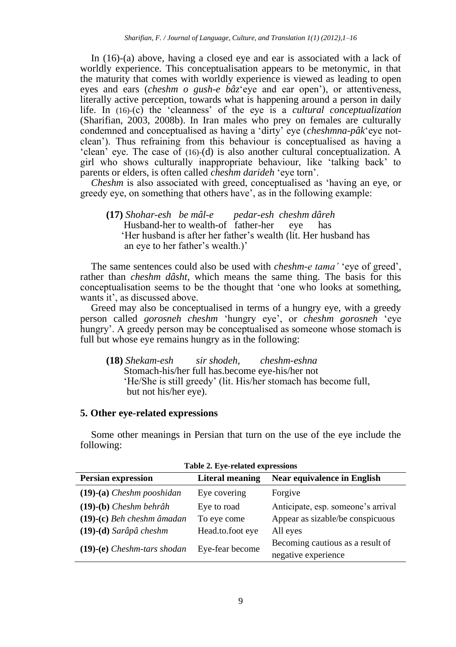In (16)-(a) above, having a closed eye and ear is associated with a lack of worldly experience. This conceptualisation appears to be metonymic, in that the maturity that comes with worldly experience is viewed as leading to open eyes and ears (*cheshm o gush-e bâz*'eye and ear open'), or attentiveness, literally active perception, towards what is happening around a person in daily life. In (16)-(c) the 'cleanness' of the eye is a *cultural conceptualization* (Sharifian, 2003, 2008b). In Iran males who prey on females are culturally condemned and conceptualised as having a 'dirty' eye (*cheshmna-pâk*'eye notclean'). Thus refraining from this behaviour is conceptualised as having a 'clean' eye. The case of (16)-(d) is also another cultural conceptualization. A girl who shows culturally inappropriate behaviour, like 'talking back' to parents or elders, is often called *cheshm darideh* 'eye torn'.

*Cheshm* is also associated with greed, conceptualised as 'having an eye, or greedy eye, on something that others have', as in the following example:

**(17)** *Shohar-esh be mâl-e pedar-esh cheshm dâreh*  Husband-her to wealth-of father-her eye has 'Her husband is after her father's wealth (lit. Her husband has an eye to her father's wealth.)'

The same sentences could also be used with *cheshm-e tama'* 'eye of greed', rather than *cheshm dâsht*, which means the same thing. The basis for this conceptualisation seems to be the thought that 'one who looks at something, wants it', as discussed above.

Greed may also be conceptualised in terms of a hungry eye, with a greedy person called *gorosneh cheshm* 'hungry eye', or *cheshm gorosneh* 'eye hungry'. A greedy person may be conceptualised as someone whose stomach is full but whose eye remains hungry as in the following:

**(18)** *Shekam-esh sir shodeh, cheshm-eshna* Stomach-his/her full has.become eye-his/her not 'He/She is still greedy' (lit. His/her stomach has become full, but not his/her eye).

#### **5. Other eye-related expressions**

Some other meanings in Persian that turn on the use of the eye include the following:

| <b>Persian expression</b>     | <b>Literal meaning</b> | <b>Near equivalence in English</b> |
|-------------------------------|------------------------|------------------------------------|
| $(19)-(a)$ Cheshm pooshidan   | Eye covering           | Forgive                            |
| $(19)-(b)$ Cheshm behrâh      | Eye to road            | Anticipate, esp. someone's arrival |
| $(19)-(c)$ Beh cheshm âmadan  | To eye come            | Appear as sizable/be conspicuous   |
| $(19)-(d)$ Sarâpâ cheshm      | Head.to.foot eye       | All eyes                           |
| $(19)-(e)$ Cheshm-tars shodan | Eye-fear become        | Becoming cautious as a result of   |
|                               |                        | negative experience                |

**Table 2. Eye-related expressions**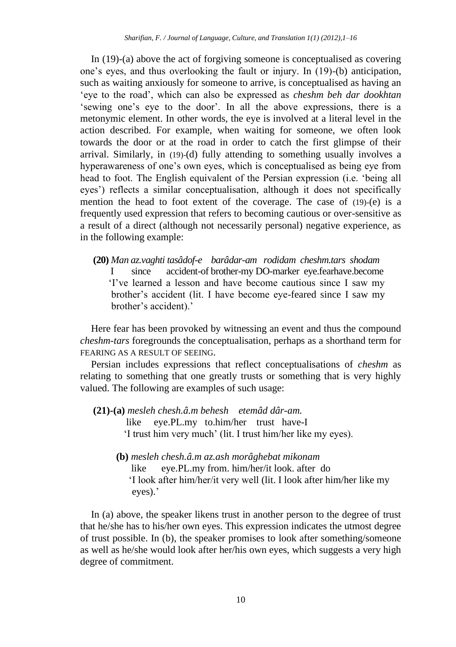In (19)-(a) above the act of forgiving someone is conceptualised as covering one's eyes, and thus overlooking the fault or injury. In (19)-(b) anticipation, such as waiting anxiously for someone to arrive, is conceptualised as having an 'eye to the road', which can also be expressed as *cheshm beh dar dookhtan*  'sewing one's eye to the door'. In all the above expressions, there is a metonymic element. In other words, the eye is involved at a literal level in the action described. For example, when waiting for someone, we often look towards the door or at the road in order to catch the first glimpse of their arrival. Similarly, in (19)-(d) fully attending to something usually involves a hyperawareness of one's own eyes, which is conceptualised as being eye from head to foot. The English equivalent of the Persian expression (i.e. 'being all eyes') reflects a similar conceptualisation, although it does not specifically mention the head to foot extent of the coverage. The case of (19)-(e) is a frequently used expression that refers to becoming cautious or over-sensitive as a result of a direct (although not necessarily personal) negative experience, as in the following example:

**(20)** *Man az.vaghti tasâdof-e barâdar-am rodidam cheshm.tars shodam* since accident-of brother-my DO-marker eye.fearhave.become 'I've learned a lesson and have become cautious since I saw my brother's accident (lit. I have become eye-feared since I saw my brother's accident).'

Here fear has been provoked by witnessing an event and thus the compound *cheshm-tars* foregrounds the conceptualisation, perhaps as a shorthand term for FEARING AS A RESULT OF SEEING.

Persian includes expressions that reflect conceptualisations of *cheshm* as relating to something that one greatly trusts or something that is very highly valued. The following are examples of such usage:

- **(21)-(a)** *mesleh chesh.â.m behesh etemâd dâr-am.* like eye.PL.my to.him/her trust have-I 'I trust him very much' (lit. I trust him/her like my eyes).
	- **(b)** *mesleh chesh.â.m az.ash morâghebat mikonam* like eye.PL.my from. him/her/it look. after do 'I look after him/her/it very well (lit. I look after him/her like my eyes).'

In (a) above, the speaker likens trust in another person to the degree of trust that he/she has to his/her own eyes. This expression indicates the utmost degree of trust possible. In (b), the speaker promises to look after something/someone as well as he/she would look after her/his own eyes, which suggests a very high degree of commitment.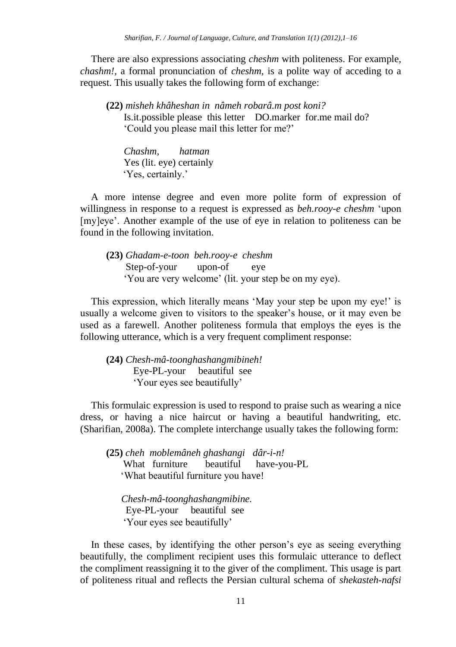There are also expressions associating *cheshm* with politeness. For example, *chashm!,* a formal pronunciation of *cheshm,* is a polite way of acceding to a request. This usually takes the following form of exchange:

**(22)** *misheh khâheshan in nâmeh robarâ.m post koni?* Is.it.possible please this letter DO.marker for.me mail do? 'Could you please mail this letter for me?'

 *Chashm, hatman* Yes (lit. eye) certainly 'Yes, certainly.'

A more intense degree and even more polite form of expression of willingness in response to a request is expressed as *beh.rooy-e cheshm* 'upon [my]eye'. Another example of the use of eye in relation to politeness can be found in the following invitation.

**(23)** *Ghadam-e-toon beh.rooy-e cheshm* Step-of-your upon-of eye 'You are very welcome' (lit. your step be on my eye).

This expression, which literally means 'May your step be upon my eye!' is usually a welcome given to visitors to the speaker's house, or it may even be used as a farewell. Another politeness formula that employs the eyes is the following utterance, which is a very frequent compliment response:

**(24)** *Chesh-mâ-toonghashangmibineh!* Eye-PL-your beautiful see 'Your eyes see beautifully'

This formulaic expression is used to respond to praise such as wearing a nice dress, or having a nice haircut or having a beautiful handwriting, etc. (Sharifian, 2008a). The complete interchange usually takes the following form:

**(25)** *cheh moblemâneh ghashangi dâr-i-n!* What furniture beautiful have-you-PL 'What beautiful furniture you have!

 *Chesh-mâ-toonghashangmibine.* Eye-PL-your beautiful see 'Your eyes see beautifully'

In these cases, by identifying the other person's eye as seeing everything beautifully, the compliment recipient uses this formulaic utterance to deflect the compliment reassigning it to the giver of the compliment. This usage is part of politeness ritual and reflects the Persian cultural schema of *shekasteh-nafsi*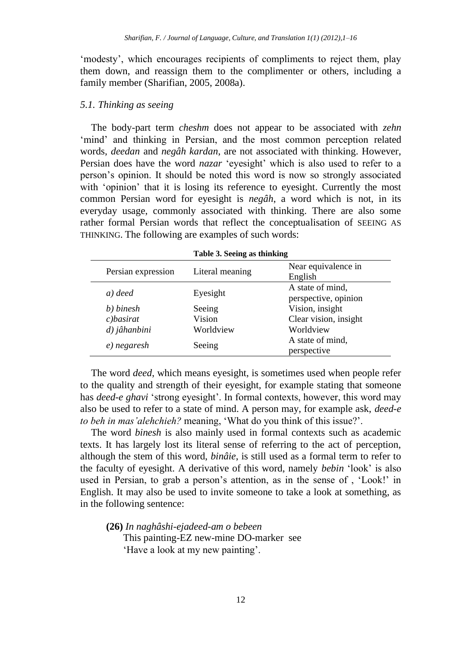'modesty', which encourages recipients of compliments to reject them, play them down, and reassign them to the complimenter or others, including a family member (Sharifian, 2005, 2008a).

#### *5.1. Thinking as seeing*

The body-part term *cheshm* does not appear to be associated with *zehn*  'mind' and thinking in Persian, and the most common perception related words, *deedan* and *negâh kardan*, are not associated with thinking. However, Persian does have the word *nazar* 'eyesight' which is also used to refer to a person's opinion. It should be noted this word is now so strongly associated with 'opinion' that it is losing its reference to eyesight. Currently the most common Persian word for eyesight is *negâh*, a word which is not, in its everyday usage, commonly associated with thinking. There are also some rather formal Persian words that reflect the conceptualisation of SEEING AS THINKING. The following are examples of such words:

| Table 5. Secting as unificing |                 |                                          |  |
|-------------------------------|-----------------|------------------------------------------|--|
| Persian expression            | Literal meaning | Near equivalence in<br>English           |  |
| a) deed                       | Eyesight        | A state of mind,<br>perspective, opinion |  |
| b) binesh                     | Seeing          | Vision, insight                          |  |
| $c)$ basirat                  | Vision          | Clear vision, insight                    |  |
| d) jâhanbini                  | Worldview       | Worldview                                |  |
| e) negaresh                   | Seeing          | A state of mind,<br>perspective          |  |

**Table 3. Seeing as thinking**

The word *deed*, which means eyesight, is sometimes used when people refer to the quality and strength of their eyesight, for example stating that someone has *deed-e ghavi* 'strong eyesight'. In formal contexts, however, this word may also be used to refer to a state of mind. A person may, for example ask, *deed-e to beh in mas'alehchieh?* meaning, 'What do you think of this issue?'.

The word *binesh* is also mainly used in formal contexts such as academic texts. It has largely lost its literal sense of referring to the act of perception, although the stem of this word, *binâie*, is still used as a formal term to refer to the faculty of eyesight. A derivative of this word, namely *bebin* 'look' is also used in Persian, to grab a person's attention, as in the sense of , 'Look!' in English. It may also be used to invite someone to take a look at something, as in the following sentence:

**(26)** *In naghâshi-ejadeed-am o bebeen*

 This painting-EZ new-mine DO-marker see 'Have a look at my new painting'.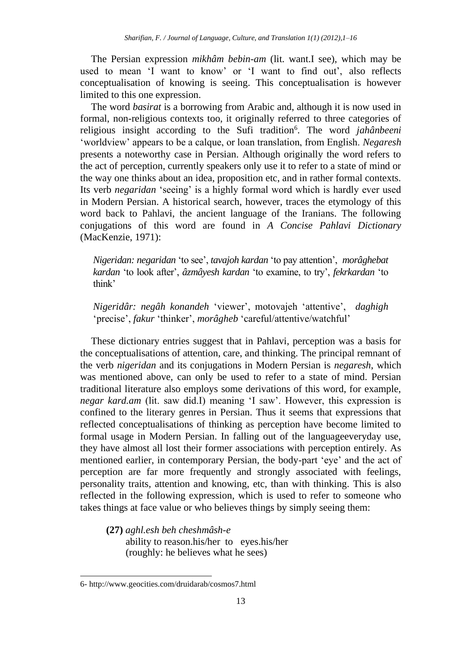The Persian expression *mikhâm bebin-am* (lit. want.I see), which may be used to mean 'I want to know' or 'I want to find out', also reflects conceptualisation of knowing is seeing. This conceptualisation is however limited to this one expression.

The word *basirat* is a borrowing from Arabic and, although it is now used in formal, non-religious contexts too, it originally referred to three categories of religious insight according to the Sufi tradition<sup>6</sup>. The word *jahânbeeni* 'worldview' appears to be a calque, or loan translation, from English. *Negaresh* presents a noteworthy case in Persian. Although originally the word refers to the act of perception, currently speakers only use it to refer to a state of mind or the way one thinks about an idea, proposition etc, and in rather formal contexts. Its verb *negaridan* 'seeing' is a highly formal word which is hardly ever used in Modern Persian. A historical search, however, traces the etymology of this word back to Pahlavi, the ancient language of the Iranians. The following conjugations of this word are found in *A Concise Pahlavi Dictionary*  (MacKenzie, 1971):

*Nigeridan: negaridan* 'to see', *tavajoh kardan* 'to pay attention', *morâghebat kardan* 'to look after', *âzmâyesh kardan* 'to examine, to try', *fekrkardan* 'to think'

*Nigeridâr: negâh konandeh* 'viewer', motovajeh 'attentive', *daghigh* 'precise', *fakur* 'thinker', *morâgheb* 'careful/attentive/watchful'

These dictionary entries suggest that in Pahlavi, perception was a basis for the conceptualisations of attention, care, and thinking. The principal remnant of the verb *nigeridan* and its conjugations in Modern Persian is *negaresh*, which was mentioned above, can only be used to refer to a state of mind. Persian traditional literature also employs some derivations of this word, for example, *negar kard.am* (lit. saw did.I) meaning 'I saw'. However, this expression is confined to the literary genres in Persian. Thus it seems that expressions that reflected conceptualisations of thinking as perception have become limited to formal usage in Modern Persian. In falling out of the languageeveryday use, they have almost all lost their former associations with perception entirely. As mentioned earlier, in contemporary Persian, the body-part 'eye' and the act of perception are far more frequently and strongly associated with feelings, personality traits, attention and knowing, etc, than with thinking. This is also reflected in the following expression, which is used to refer to someone who takes things at face value or who believes things by simply seeing them:

**(27)** *aghl.esh beh cheshmâsh-e*  ability to reason.his/her to eyes.his/her (roughly: he believes what he sees)

<sup>6-</sup> http://www.geocities.com/druidarab/cosmos7.html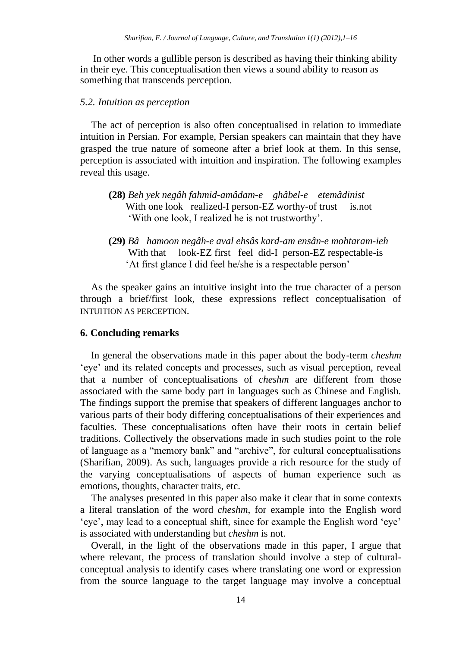In other words a gullible person is described as having their thinking ability in their eye. This conceptualisation then views a sound ability to reason as something that transcends perception.

## *5.2. Intuition as perception*

The act of perception is also often conceptualised in relation to immediate intuition in Persian. For example, Persian speakers can maintain that they have grasped the true nature of someone after a brief look at them. In this sense, perception is associated with intuition and inspiration. The following examples reveal this usage.

- **(28)** *Beh yek negâh fahmid-amâdam-e ghâbel-e etemâdinist* With one look realized-I person-EZ worthy-of trust is.not 'With one look, I realized he is not trustworthy'.
- **(29)** *Bâ hamoon negâh-e aval ehsâs kard-am ensân-e mohtaram-ieh* With that look-EZ first feel did-I person-EZ respectable-is 'At first glance I did feel he/she is a respectable person'

As the speaker gains an intuitive insight into the true character of a person through a brief/first look, these expressions reflect conceptualisation of INTUITION AS PERCEPTION.

## **6. Concluding remarks**

In general the observations made in this paper about the body-term *cheshm* 'eye' and its related concepts and processes, such as visual perception, reveal that a number of conceptualisations of *cheshm* are different from those associated with the same body part in languages such as Chinese and English. The findings support the premise that speakers of different languages anchor to various parts of their body differing conceptualisations of their experiences and faculties. These conceptualisations often have their roots in certain belief traditions. Collectively the observations made in such studies point to the role of language as a "memory bank" and "archive", for cultural conceptualisations (Sharifian, 2009). As such, languages provide a rich resource for the study of the varying conceptualisations of aspects of human experience such as emotions, thoughts, character traits, etc.

The analyses presented in this paper also make it clear that in some contexts a literal translation of the word *cheshm*, for example into the English word 'eye', may lead to a conceptual shift, since for example the English word 'eye' is associated with understanding but *cheshm* is not.

Overall, in the light of the observations made in this paper, I argue that where relevant, the process of translation should involve a step of culturalconceptual analysis to identify cases where translating one word or expression from the source language to the target language may involve a conceptual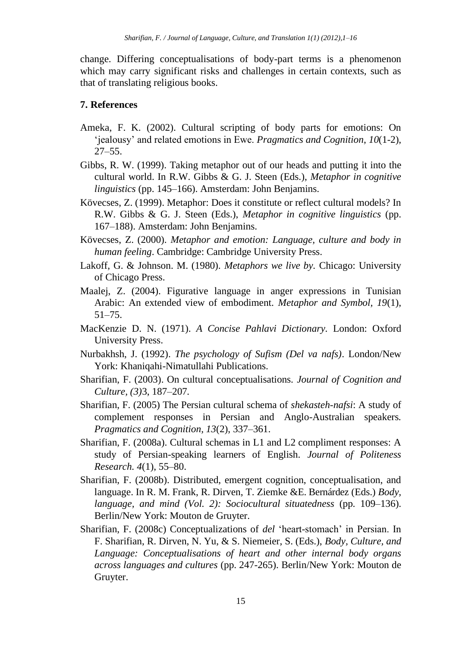change. Differing conceptualisations of body-part terms is a phenomenon which may carry significant risks and challenges in certain contexts, such as that of translating religious books.

## **7. References**

- Ameka, F. K. (2002). Cultural scripting of body parts for emotions: On 'jealousy' and related emotions in Ewe. *Pragmatics and Cognition*, *10*(1-2), 27–55.
- Gibbs, R. W. (1999). Taking metaphor out of our heads and putting it into the cultural world. In R.W. Gibbs & G. J. Steen (Eds.), *Metaphor in cognitive linguistics* (pp. 145–166). Amsterdam: John Benjamins.
- Kövecses, Z. (1999). Metaphor: Does it constitute or reflect cultural models? In R.W. Gibbs & G. J. Steen (Eds.), *Metaphor in cognitive linguistics* (pp. 167–188). Amsterdam: John Benjamins.
- Kövecses, Z. (2000). *Metaphor and emotion: Language, culture and body in human feeling*. Cambridge: Cambridge University Press.
- Lakoff, G. & Johnson. M. (1980). *Metaphors we live by.* Chicago: University of Chicago Press.
- Maalej, Z. (2004). Figurative language in anger expressions in Tunisian Arabic: An extended view of embodiment. *Metaphor and Symbol, 19*(1), 51–75.
- MacKenzie D. N. (1971). *A Concise Pahlavi Dictionary.* London: Oxford University Press.
- Nurbakhsh, J. (1992). *The psychology of Sufism (Del va nafs)*. London/New York: Khaniqahi-Nimatullahi Publications.
- Sharifian, F. (2003). On cultural conceptualisations. *Journal of Cognition and Culture, (3)*3, 187–207*.*
- Sharifian, F. (2005) The Persian cultural schema of *shekasteh-nafsi*: A study of complement responses in Persian and Anglo-Australian speakers*. Pragmatics and Cognition, 13*(2), 337–361.
- Sharifian, F. (2008a). Cultural schemas in L1 and L2 compliment responses: A study of Persian-speaking learners of English. *Journal of Politeness Research. 4*(1), 55–80.
- Sharifian, F. (2008b). Distributed, emergent cognition, conceptualisation, and language. In R. M. Frank, R. Dirven, T. Ziemke &E. Bernárdez (Eds.) *Body, language, and mind (Vol. 2): Sociocultural situatedness* (pp. 109–136). Berlin/New York: Mouton de Gruyter.
- Sharifian, F. (2008c) Conceptualizations of *del* 'heart-stomach' in Persian. In F. Sharifian, R. Dirven, N. Yu, & S. Niemeier, S. (Eds.), *Body, Culture, and Language: Conceptualisations of heart and other internal body organs across languages and cultures* (pp. 247-265). Berlin/New York: Mouton de Gruyter.